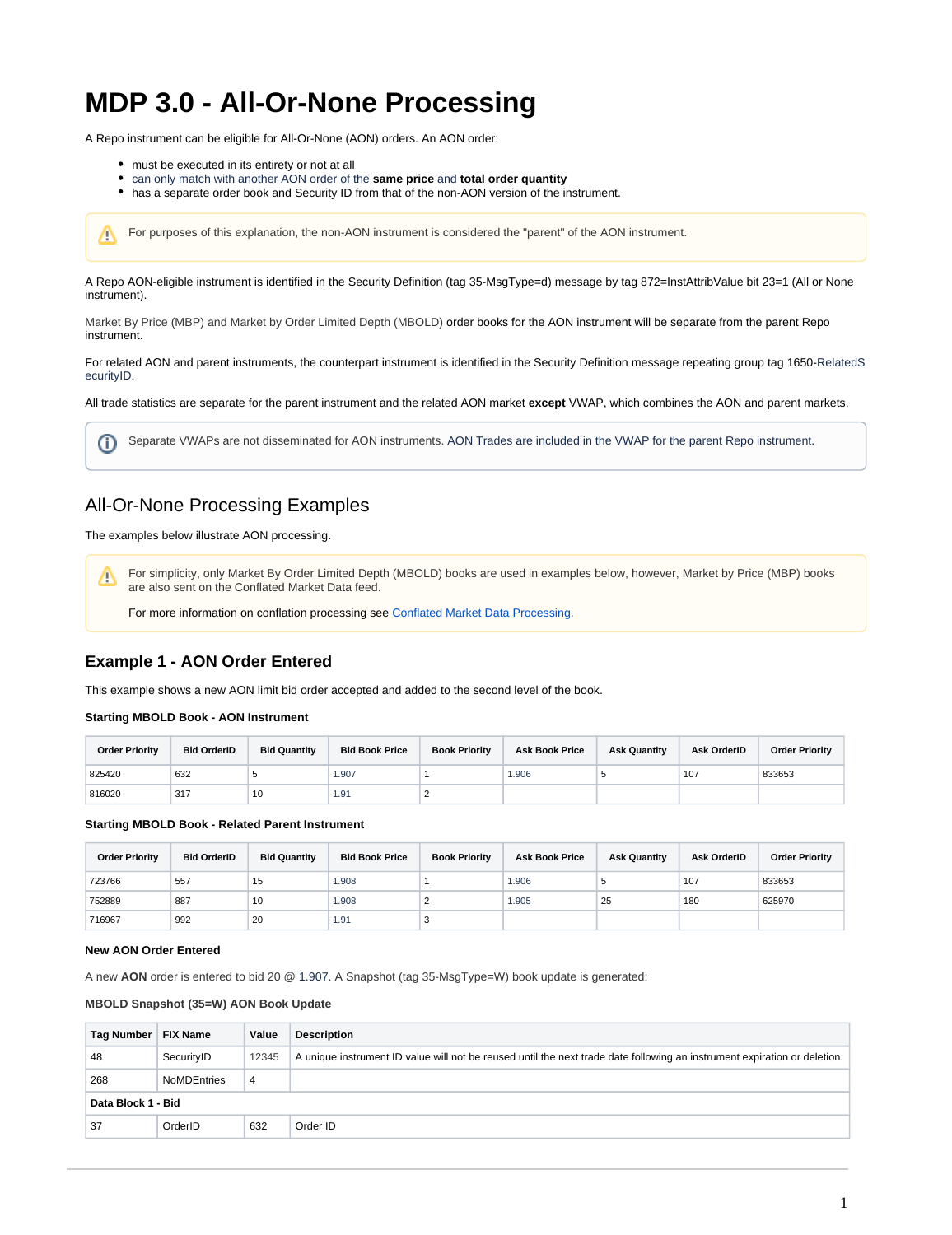# **MDP 3.0 - All-Or-None Processing**

A Repo instrument can be eligible for All-Or-None (AON) orders. An AON order:

must be executed in its entirety or not at all

Λ

- can only match with another AON order of the **same price** and **total order quantity**
- has a separate order book and Security ID from that of the non-AON version of the instrument.

For purposes of this explanation, the non-AON instrument is considered the "parent" of the AON instrument.

A Repo AON-eligible instrument is identified in the Security Definition (tag 35-MsgType=d) message by tag 872=InstAttribValue bit 23=1 (All or None instrument).

Market By Price (MBP) and Market by Order Limited Depth (MBOLD) order books for the AON instrument will be separate from the parent Repo instrument.

For related AON and parent instruments, the counterpart instrument is identified in the Security Definition message repeating group tag 1650-RelatedS ecurityID.

All trade statistics are separate for the parent instrument and the related AON market **except** VWAP, which combines the AON and parent markets.

Separate VWAPs are not disseminated for AON instruments. AON Trades are included in the VWAP for the parent Repo instrument. O)

# All-Or-None Processing Examples

The examples below illustrate AON processing.

For simplicity, only Market By Order Limited Depth (MBOLD) books are used in examples below, however, Market by Price (MBP) books Δ are also sent on the Conflated Market Data feed.

For more information on conflation processing see [Conflated Market Data Processing](https://www.cmegroup.com/confluence/display/EPICSANDBOX/MDP+3.0+-+Conflation+Processing).

# **Example 1 - AON Order Entered**

This example shows a new AON limit bid order accepted and added to the second level of the book.

**Starting MBOLD Book - AON Instrument** 

| <b>Order Priority</b> | <b>Bid OrderID</b> | <b>Bid Quantity</b> | <b>Bid Book Price</b> | <b>Book Priority</b> | <b>Ask Book Price</b> | <b>Ask Quantity</b> | Ask OrderID | <b>Order Priority</b> |
|-----------------------|--------------------|---------------------|-----------------------|----------------------|-----------------------|---------------------|-------------|-----------------------|
| 825420                | 632                |                     | 1.907                 |                      | 1.906                 |                     | 107         | 833653                |
| 816020                | 317                | 10                  | 1.91                  |                      |                       |                     |             |                       |

**Starting MBOLD Book - Related Parent Instrument** 

| <b>Order Priority</b> | <b>Bid OrderID</b> | <b>Bid Quantity</b> | <b>Bid Book Price</b> | <b>Book Priority</b> | <b>Ask Book Price</b> | <b>Ask Quantity</b> | Ask OrderID | <b>Order Priority</b> |
|-----------------------|--------------------|---------------------|-----------------------|----------------------|-----------------------|---------------------|-------------|-----------------------|
| 723766                | 557                | 15                  | 1.908                 |                      | 1.906                 | к.                  | 107         | 833653                |
| 752889                | 887                | 10                  | 1.908                 |                      | 1.905                 | 25                  | 180         | 625970                |
| 716967                | 992                | 20                  | 1.91                  | $\ddot{\phantom{1}}$ |                       |                     |             |                       |

#### **New AON Order Entered**

A new **AON** order is entered to bid 20 @ 1.907. A Snapshot (tag 35-MsgType=W) book update is generated:

#### **MBOLD Snapshot (35=W) AON Book Update**

| Tag Number         | <b>FIX Name</b>    | Value          | <b>Description</b>                                                                                                        |  |  |
|--------------------|--------------------|----------------|---------------------------------------------------------------------------------------------------------------------------|--|--|
| 48                 | SecurityID         | 12345          | A unique instrument ID value will not be reused until the next trade date following an instrument expiration or deletion. |  |  |
| 268                | <b>NoMDEntries</b> | $\overline{4}$ |                                                                                                                           |  |  |
| Data Block 1 - Bid |                    |                |                                                                                                                           |  |  |
| 37                 | OrderID            | 632            | Order ID                                                                                                                  |  |  |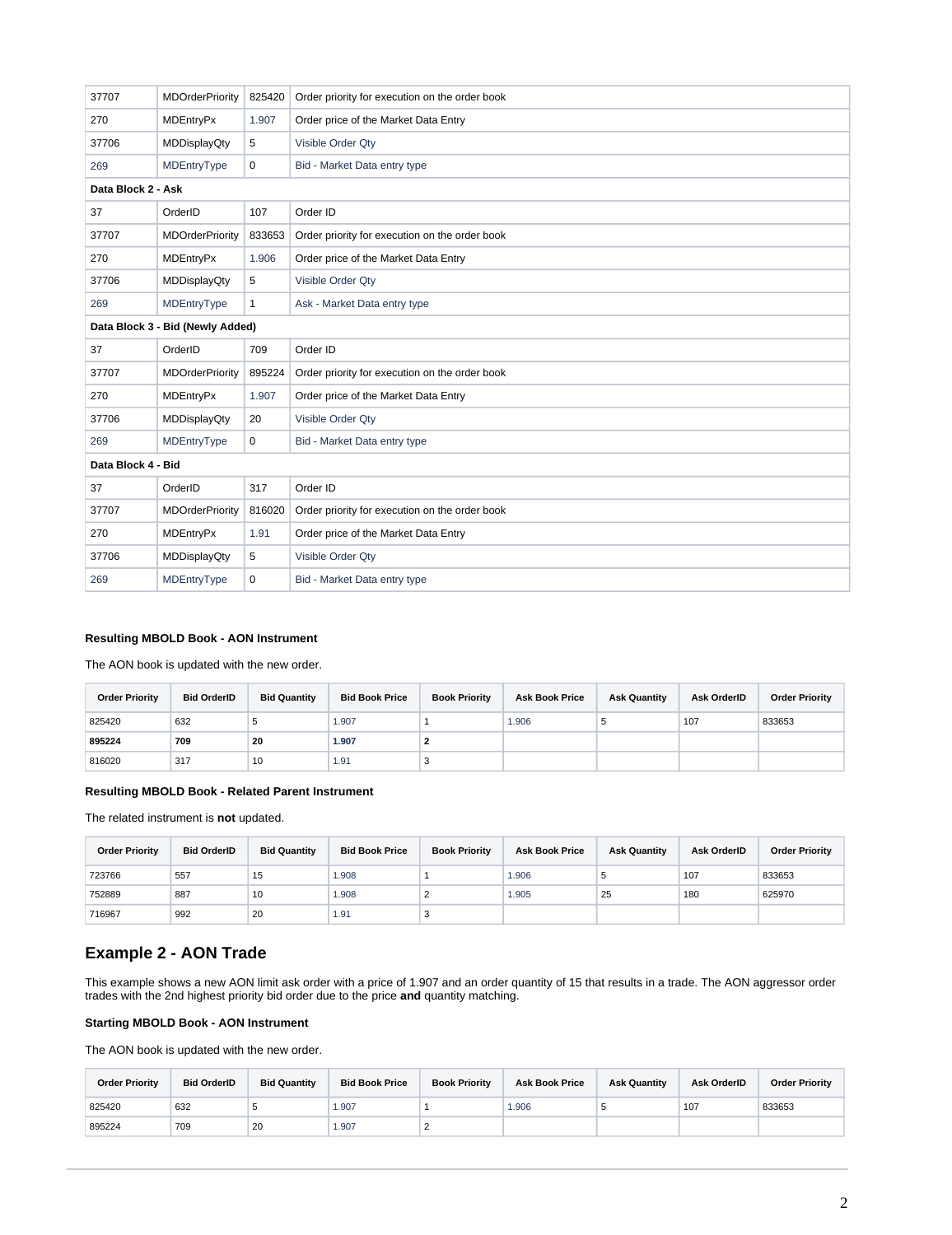| 37707              | <b>MDOrderPriority</b>           | 825420       | Order priority for execution on the order book |  |  |  |  |  |
|--------------------|----------------------------------|--------------|------------------------------------------------|--|--|--|--|--|
| 270                | <b>MDEntryPx</b>                 | 1.907        | Order price of the Market Data Entry           |  |  |  |  |  |
| 37706              | <b>MDDisplayQty</b>              | 5            | Visible Order Qty                              |  |  |  |  |  |
| 269                | MDEntryType                      | 0            | Bid - Market Data entry type                   |  |  |  |  |  |
| Data Block 2 - Ask |                                  |              |                                                |  |  |  |  |  |
| 37                 | OrderID                          | 107          | Order ID                                       |  |  |  |  |  |
| 37707              | <b>MDOrderPriority</b>           | 833653       | Order priority for execution on the order book |  |  |  |  |  |
| 270                | <b>MDEntryPx</b>                 | 1.906        | Order price of the Market Data Entry           |  |  |  |  |  |
| 37706              | <b>MDDisplayQty</b>              | 5            | Visible Order Qty                              |  |  |  |  |  |
| 269                | MDEntryType                      | $\mathbf{1}$ | Ask - Market Data entry type                   |  |  |  |  |  |
|                    | Data Block 3 - Bid (Newly Added) |              |                                                |  |  |  |  |  |
| 37                 | OrderID                          | 709          | Order ID                                       |  |  |  |  |  |
| 37707              | <b>MDOrderPriority</b>           | 895224       | Order priority for execution on the order book |  |  |  |  |  |
| 270                | <b>MDEntryPx</b>                 | 1.907        | Order price of the Market Data Entry           |  |  |  |  |  |
| 37706              | <b>MDDisplayQty</b>              | 20           | Visible Order Qty                              |  |  |  |  |  |
| 269                | MDEntryType                      | 0            | Bid - Market Data entry type                   |  |  |  |  |  |
| Data Block 4 - Bid |                                  |              |                                                |  |  |  |  |  |
| 37                 | OrderID                          | 317          | Order ID                                       |  |  |  |  |  |
| 37707              | <b>MDOrderPriority</b>           | 816020       | Order priority for execution on the order book |  |  |  |  |  |
| 270                | <b>MDEntryPx</b>                 | 1.91         | Order price of the Market Data Entry           |  |  |  |  |  |
| 37706              | <b>MDDisplayQty</b>              | 5            | Visible Order Qty                              |  |  |  |  |  |
| 269                | MDEntryType                      | 0            | Bid - Market Data entry type                   |  |  |  |  |  |

## **Resulting MBOLD Book - AON Instrument**

The AON book is updated with the new order.

| <b>Order Priority</b> | <b>Bid OrderID</b> | <b>Bid Quantity</b> | <b>Bid Book Price</b> | <b>Book Priority</b> | <b>Ask Book Price</b> | <b>Ask Quantity</b> | Ask OrderID | <b>Order Priority</b> |
|-----------------------|--------------------|---------------------|-----------------------|----------------------|-----------------------|---------------------|-------------|-----------------------|
| 825420                | 632                | ÷                   | 1.907                 |                      | 1.906                 | $\cdot$             | 107         | 833653                |
| 895224                | 709                | 20                  | 1.907                 |                      |                       |                     |             |                       |
| 816020                | 317                | 10                  | 1.91                  |                      |                       |                     |             |                       |

## **Resulting MBOLD Book - Related Parent Instrument**

The related instrument is **not** updated.

| <b>Order Priority</b> | <b>Bid OrderID</b> | <b>Bid Quantity</b> | <b>Bid Book Price</b> | <b>Book Priority</b> | <b>Ask Book Price</b> | <b>Ask Quantity</b> | Ask OrderID | <b>Order Priority</b> |
|-----------------------|--------------------|---------------------|-----------------------|----------------------|-----------------------|---------------------|-------------|-----------------------|
| 723766                | 557                | 15                  | 1.908                 |                      | 1.906                 | υ                   | 107         | 833653                |
| 752889                | 887                | 10                  | 1.908                 |                      | 1.905                 | 25                  | 180         | 625970                |
| 716967                | 992                | 20                  | 1.91                  | ر.                   |                       |                     |             |                       |

# **Example 2 - AON Trade**

This example shows a new AON limit ask order with a price of 1.907 and an order quantity of 15 that results in a trade. The AON aggressor order trades with the 2nd highest priority bid order due to the price **and** quantity matching.

#### **Starting MBOLD Book - AON Instrument**

The AON book is updated with the new order.

| <b>Order Priority</b> | <b>Bid OrderID</b> | <b>Bid Quantity</b> | <b>Bid Book Price</b> | <b>Book Priority</b> | <b>Ask Book Price</b> | <b>Ask Quantity</b> | Ask OrderID | <b>Order Priority</b> |
|-----------------------|--------------------|---------------------|-----------------------|----------------------|-----------------------|---------------------|-------------|-----------------------|
| 825420                | 632                |                     | 1.907                 |                      | 1.906                 |                     | 107         | 833653                |
| 895224                | 709                | 20                  | 1.907                 |                      |                       |                     |             |                       |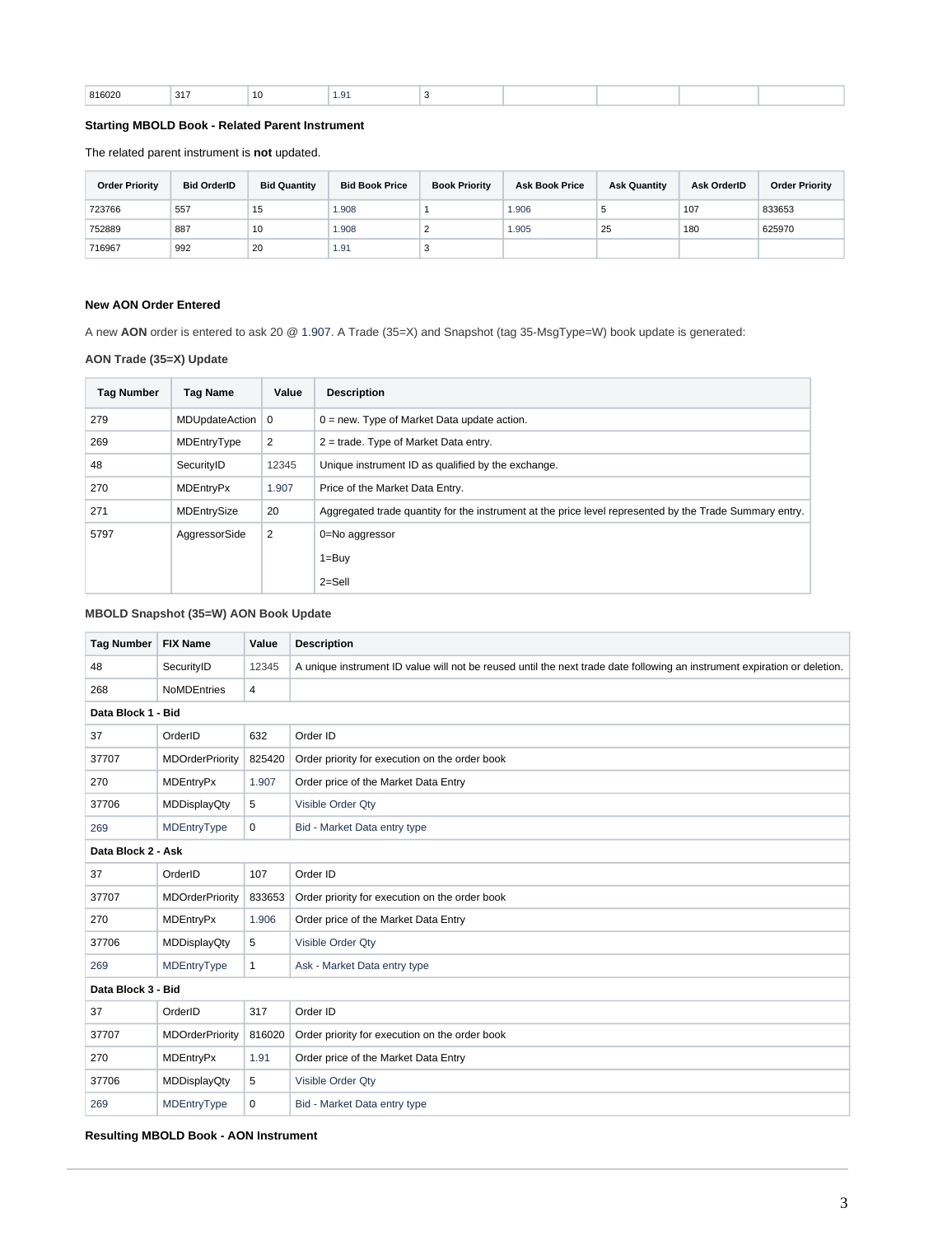| $\cdot$ $\cdot$<br>___<br>__ | 816020 | 317 |  | $\sim$ |  |  |  |  |  |
|------------------------------|--------|-----|--|--------|--|--|--|--|--|
|------------------------------|--------|-----|--|--------|--|--|--|--|--|

## **Starting MBOLD Book - Related Parent Instrument**

The related parent instrument is **not** updated.

| <b>Order Priority</b> | <b>Bid OrderID</b> | <b>Bid Quantity</b> | <b>Bid Book Price</b> | <b>Book Priority</b> | <b>Ask Book Price</b> | <b>Ask Quantity</b> | Ask OrderID | <b>Order Priority</b> |
|-----------------------|--------------------|---------------------|-----------------------|----------------------|-----------------------|---------------------|-------------|-----------------------|
| 723766                | 557                | 15                  | 1.908                 |                      | 1.906                 |                     | 107         | 833653                |
| 752889                | 887                | 10                  | 809.1                 |                      | 1.905                 | 25                  | 180         | 625970                |
| 716967                | 992                | 20                  | 1.91                  |                      |                       |                     |             |                       |

#### **New AON Order Entered**

A new **AON** order is entered to ask 20 @ 1.907. A Trade (35=X) and Snapshot (tag 35-MsgType=W) book update is generated:

## **AON Trade (35=X) Update**

| <b>Tag Number</b> | <b>Tag Name</b>  | Value       | <b>Description</b>                                                                                      |
|-------------------|------------------|-------------|---------------------------------------------------------------------------------------------------------|
| 279               | MDUpdateAction   | $\mathbf 0$ | $0 = new$ . Type of Market Data update action.                                                          |
| 269               | MDEntryType      | 2           | $2$ = trade. Type of Market Data entry.                                                                 |
| 48                | SecurityID       | 12345       | Unique instrument ID as qualified by the exchange.                                                      |
| 270               | <b>MDEntryPx</b> | 1.907       | Price of the Market Data Entry.                                                                         |
| 271               | MDEntrySize      | 20          | Aggregated trade quantity for the instrument at the price level represented by the Trade Summary entry. |
| 5797              | AggressorSide    | 2           | 0=No aggressor                                                                                          |
|                   |                  |             | $1 = Buy$                                                                                               |
|                   |                  |             | $2 =$ Sell                                                                                              |

## **MBOLD Snapshot (35=W) AON Book Update**

| <b>Tag Number</b>  | <b>FIX Name</b>        | Value          | <b>Description</b>                                                                                                        |  |  |
|--------------------|------------------------|----------------|---------------------------------------------------------------------------------------------------------------------------|--|--|
| 48                 | SecurityID             | 12345          | A unique instrument ID value will not be reused until the next trade date following an instrument expiration or deletion. |  |  |
| 268                | <b>NoMDEntries</b>     | $\overline{4}$ |                                                                                                                           |  |  |
| Data Block 1 - Bid |                        |                |                                                                                                                           |  |  |
| 37                 | OrderID                | 632            | Order ID                                                                                                                  |  |  |
| 37707              | <b>MDOrderPriority</b> | 825420         | Order priority for execution on the order book                                                                            |  |  |
| 270                | <b>MDEntryPx</b>       | 1.907          | Order price of the Market Data Entry                                                                                      |  |  |
| 37706              | <b>MDDisplayQty</b>    | 5              | Visible Order Qty                                                                                                         |  |  |
| 269                | MDEntryType            | $\mathbf 0$    | Bid - Market Data entry type                                                                                              |  |  |
| Data Block 2 - Ask |                        |                |                                                                                                                           |  |  |
| 37                 | OrderID                | 107            | Order ID                                                                                                                  |  |  |
| 37707              | <b>MDOrderPriority</b> | 833653         | Order priority for execution on the order book                                                                            |  |  |
| 270                | <b>MDEntryPx</b>       | 1.906          | Order price of the Market Data Entry                                                                                      |  |  |
| 37706              | <b>MDDisplayQty</b>    | 5              | Visible Order Qty                                                                                                         |  |  |
| 269                | MDEntryType            | $\mathbf{1}$   | Ask - Market Data entry type                                                                                              |  |  |
| Data Block 3 - Bid |                        |                |                                                                                                                           |  |  |
| 37                 | OrderID                | 317            | Order ID                                                                                                                  |  |  |
| 37707              | <b>MDOrderPriority</b> | 816020         | Order priority for execution on the order book                                                                            |  |  |
| 270                | <b>MDEntryPx</b>       | 1.91           | Order price of the Market Data Entry                                                                                      |  |  |
| 37706              | <b>MDDisplayQty</b>    | 5              | Visible Order Qty                                                                                                         |  |  |
| 269                | MDEntryType            | $\mathbf 0$    | Bid - Market Data entry type                                                                                              |  |  |

#### **Resulting MBOLD Book - AON Instrument**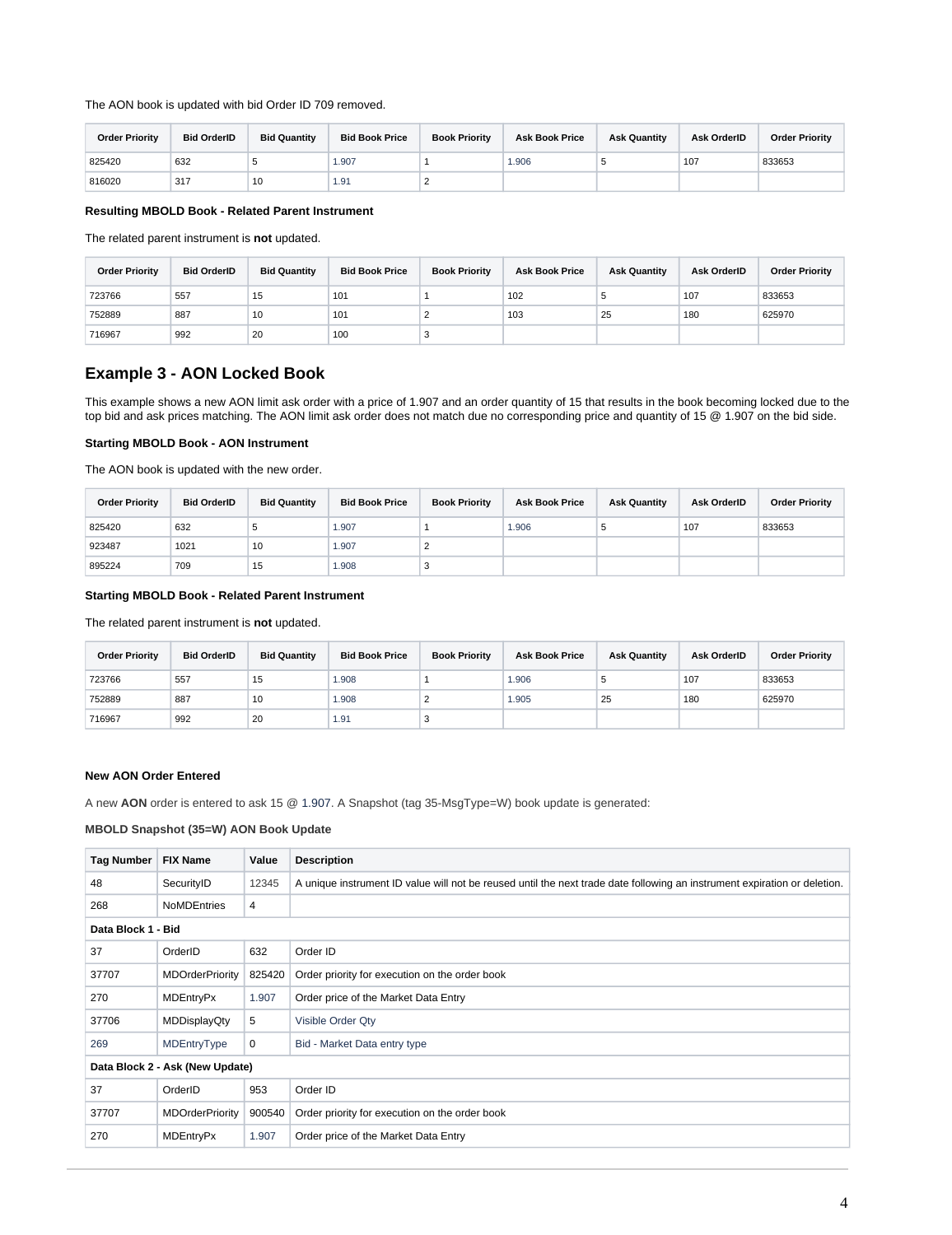The AON book is updated with bid Order ID 709 removed.

| <b>Order Priority</b> | <b>Bid OrderID</b> | <b>Bid Quantity</b> | <b>Bid Book Price</b> | <b>Book Priority</b> | <b>Ask Book Price</b> | <b>Ask Quantity</b> | <b>Ask OrderID</b> | <b>Order Priority</b> |
|-----------------------|--------------------|---------------------|-----------------------|----------------------|-----------------------|---------------------|--------------------|-----------------------|
| 825420                | 632                |                     | 1.907                 |                      | 1.906                 |                     | 107                | 833653                |
| 816020                | 317                | 10                  | 1.91                  |                      |                       |                     |                    |                       |

#### **Resulting MBOLD Book - Related Parent Instrument**

The related parent instrument is **not** updated.

| <b>Order Priority</b> | <b>Bid OrderID</b> | <b>Bid Quantity</b> | <b>Bid Book Price</b> | <b>Book Priority</b> | <b>Ask Book Price</b> | <b>Ask Quantity</b> | Ask OrderID | <b>Order Priority</b> |
|-----------------------|--------------------|---------------------|-----------------------|----------------------|-----------------------|---------------------|-------------|-----------------------|
| 723766                | 557                | 15                  | 101                   |                      | 102                   |                     | 107         | 833653                |
| 752889                | 887                | 10                  | 101                   |                      | 103                   | 25                  | 180         | 625970                |
| 716967                | 992                | 20                  | 100                   | ◡                    |                       |                     |             |                       |

# **Example 3 - AON Locked Book**

This example shows a new AON limit ask order with a price of 1.907 and an order quantity of 15 that results in the book becoming locked due to the top bid and ask prices matching. The AON limit ask order does not match due no corresponding price and quantity of 15 @ 1.907 on the bid side.

#### **Starting MBOLD Book - AON Instrument**

The AON book is updated with the new order.

| <b>Order Priority</b> | <b>Bid OrderID</b> | <b>Bid Quantity</b> | <b>Bid Book Price</b> | <b>Book Priority</b> | <b>Ask Book Price</b> | <b>Ask Quantity</b> | Ask OrderID | <b>Order Priority</b> |
|-----------------------|--------------------|---------------------|-----------------------|----------------------|-----------------------|---------------------|-------------|-----------------------|
| 825420                | 632                |                     | 1.907                 |                      | 1.906                 |                     | 107         | 833653                |
| 923487                | 1021               | 10                  | 1.907                 |                      |                       |                     |             |                       |
| 895224                | 709                | 15                  | 1.908                 |                      |                       |                     |             |                       |

#### **Starting MBOLD Book - Related Parent Instrument**

The related parent instrument is **not** updated.

| <b>Order Priority</b> | <b>Bid OrderID</b> | <b>Bid Quantity</b> | <b>Bid Book Price</b> | <b>Book Priority</b> | <b>Ask Book Price</b> | <b>Ask Quantity</b> | Ask OrderID | <b>Order Priority</b> |
|-----------------------|--------------------|---------------------|-----------------------|----------------------|-----------------------|---------------------|-------------|-----------------------|
| 723766                | 557                | 15                  | 1.908                 |                      | 1.906                 |                     | 107         | 833653                |
| 752889                | 887                | 10                  | 1.908                 |                      | 1.905                 | 25                  | 180         | 625970                |
| 716967                | 992                | 20                  | 1.91                  | $\sim$               |                       |                     |             |                       |

#### **New AON Order Entered**

A new **AON** order is entered to ask 15 @ 1.907. A Snapshot (tag 35-MsgType=W) book update is generated:

#### **MBOLD Snapshot (35=W) AON Book Update**

| <b>Tag Number</b> | <b>FIX Name</b>                 | Value          | <b>Description</b>                                                                                                        |  |  |  |  |  |  |
|-------------------|---------------------------------|----------------|---------------------------------------------------------------------------------------------------------------------------|--|--|--|--|--|--|
| 48                | SecurityID                      | 12345          | A unique instrument ID value will not be reused until the next trade date following an instrument expiration or deletion. |  |  |  |  |  |  |
| 268               | <b>NoMDEntries</b>              | $\overline{4}$ |                                                                                                                           |  |  |  |  |  |  |
|                   | Data Block 1 - Bid              |                |                                                                                                                           |  |  |  |  |  |  |
| 37                | OrderID                         | 632            | Order ID                                                                                                                  |  |  |  |  |  |  |
| 37707             | <b>MDOrderPriority</b>          | 825420         | Order priority for execution on the order book                                                                            |  |  |  |  |  |  |
| 270               | <b>MDEntryPx</b>                | 1.907          | Order price of the Market Data Entry                                                                                      |  |  |  |  |  |  |
| 37706             | MDDisplayQty                    | 5              | Visible Order Qty                                                                                                         |  |  |  |  |  |  |
| 269               | MDEntryType                     | $\mathbf 0$    | Bid - Market Data entry type                                                                                              |  |  |  |  |  |  |
|                   | Data Block 2 - Ask (New Update) |                |                                                                                                                           |  |  |  |  |  |  |
| 37                | OrderID                         | 953            | Order ID                                                                                                                  |  |  |  |  |  |  |
| 37707             | <b>MDOrderPriority</b>          | 900540         | Order priority for execution on the order book                                                                            |  |  |  |  |  |  |
| 270               | <b>MDEntryPx</b>                | 1.907          | Order price of the Market Data Entry                                                                                      |  |  |  |  |  |  |